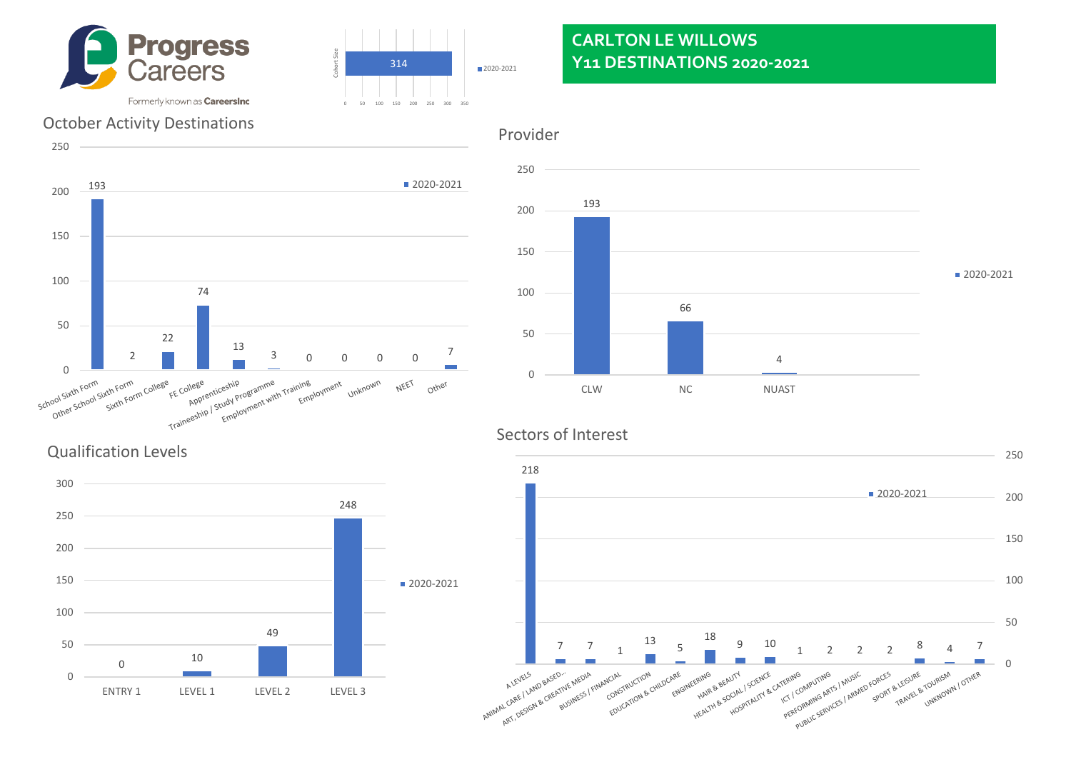



# **CARLTON LE WILLOWS Y11 DESTINATIONS 2020-2021**

### October Activity Destinations





#### Sectors of Interest



Qualification Levels